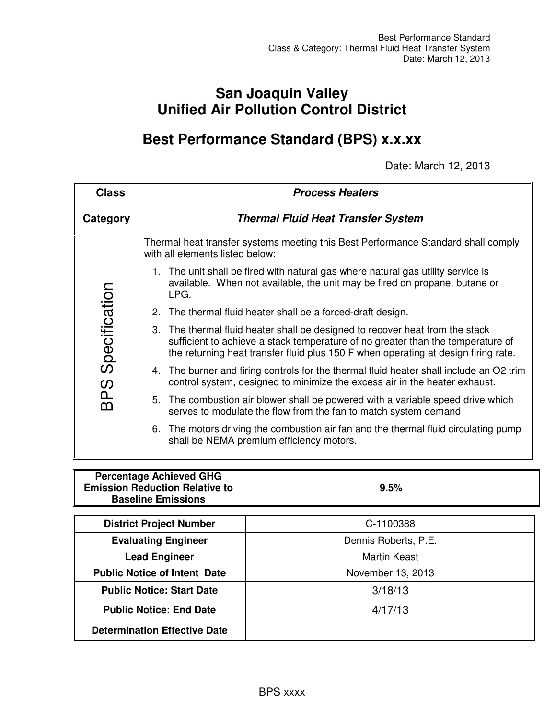# **San Joaquin Valley Unified Air Pollution Control District**

# **Best Performance Standard (BPS) x.x.xx**

Date: March 12, 2013

| <b>Class</b>  | <b>Process Heaters</b>                                                                                                                                                                                                                                |  |  |  |  |  |  |
|---------------|-------------------------------------------------------------------------------------------------------------------------------------------------------------------------------------------------------------------------------------------------------|--|--|--|--|--|--|
| Category      | <b>Thermal Fluid Heat Transfer System</b>                                                                                                                                                                                                             |  |  |  |  |  |  |
|               | Thermal heat transfer systems meeting this Best Performance Standard shall comply<br>with all elements listed below:                                                                                                                                  |  |  |  |  |  |  |
|               | 1. The unit shall be fired with natural gas where natural gas utility service is<br>available. When not available, the unit may be fired on propane, butane or<br>LPG.                                                                                |  |  |  |  |  |  |
|               | 2. The thermal fluid heater shall be a forced-draft design.                                                                                                                                                                                           |  |  |  |  |  |  |
| Specification | 3. The thermal fluid heater shall be designed to recover heat from the stack<br>sufficient to achieve a stack temperature of no greater than the temperature of<br>the returning heat transfer fluid plus 150 F when operating at design firing rate. |  |  |  |  |  |  |
|               | 4. The burner and firing controls for the thermal fluid heater shall include an O2 trim<br>control system, designed to minimize the excess air in the heater exhaust.                                                                                 |  |  |  |  |  |  |
| <b>BPS</b>    | 5. The combustion air blower shall be powered with a variable speed drive which<br>serves to modulate the flow from the fan to match system demand                                                                                                    |  |  |  |  |  |  |
|               | 6. The motors driving the combustion air fan and the thermal fluid circulating pump<br>shall be NEMA premium efficiency motors.                                                                                                                       |  |  |  |  |  |  |

| <b>Percentage Achieved GHG</b><br><b>Emission Reduction Relative to</b><br><b>Baseline Emissions</b> | 9.5%                 |
|------------------------------------------------------------------------------------------------------|----------------------|
|                                                                                                      |                      |
| <b>District Project Number</b>                                                                       | C-1100388            |
| <b>Evaluating Engineer</b>                                                                           | Dennis Roberts, P.E. |
| <b>Lead Engineer</b>                                                                                 | <b>Martin Keast</b>  |
| <b>Public Notice of Intent Date</b>                                                                  | November 13, 2013    |
| <b>Public Notice: Start Date</b>                                                                     | 3/18/13              |
| <b>Public Notice: End Date</b>                                                                       | 4/17/13              |
| <b>Determination Effective Date</b>                                                                  |                      |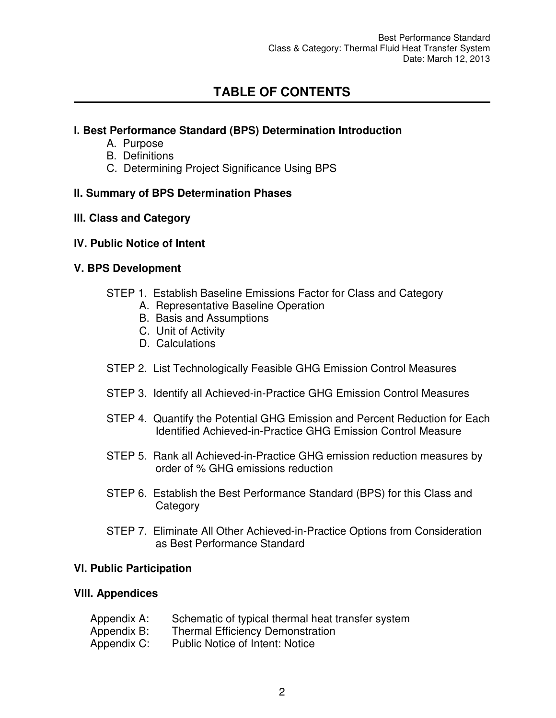# **TABLE OF CONTENTS**

#### **l. Best Performance Standard (BPS) Determination Introduction**

- A. Purpose
- B. Definitions
- C. Determining Project Significance Using BPS

#### **II. Summary of BPS Determination Phases**

#### **lll. Class and Category**

#### **lV. Public Notice of Intent**

#### **V. BPS Development**

- STEP 1. Establish Baseline Emissions Factor for Class and Category
	- A. Representative Baseline Operation
	- B. Basis and Assumptions
	- C. Unit of Activity
	- D. Calculations
- STEP 2. List Technologically Feasible GHG Emission Control Measures
- STEP 3. Identify all Achieved-in-Practice GHG Emission Control Measures
- STEP 4. Quantify the Potential GHG Emission and Percent Reduction for Each Identified Achieved-in-Practice GHG Emission Control Measure
- STEP 5. Rank all Achieved-in-Practice GHG emission reduction measures by order of % GHG emissions reduction
- STEP 6. Establish the Best Performance Standard (BPS) for this Class and **Category**
- STEP 7. Eliminate All Other Achieved-in-Practice Options from Consideration as Best Performance Standard

#### **Vl. Public Participation**

#### **Vlll. Appendices**

Appendix A: Schematic of typical thermal heat transfer system Appendix B: Thermal Efficiency Demonstration Appendix C: Public Notice of Intent: Notice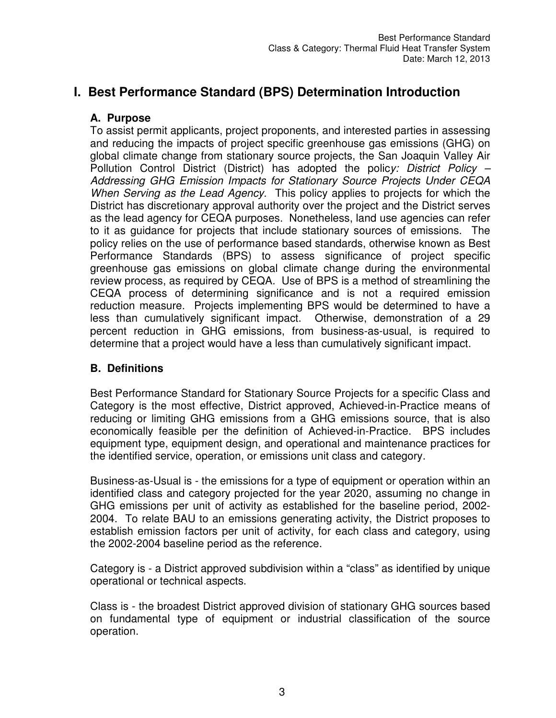# **I. Best Performance Standard (BPS) Determination Introduction**

#### **A. Purpose**

To assist permit applicants, project proponents, and interested parties in assessing and reducing the impacts of project specific greenhouse gas emissions (GHG) on global climate change from stationary source projects, the San Joaquin Valley Air Pollution Control District (District) has adopted the polic*y: District Policy – Addressing GHG Emission Impacts for Stationary Source Projects Under CEQA When Serving as the Lead Agency.* This policy applies to projects for which the District has discretionary approval authority over the project and the District serves as the lead agency for CEQA purposes. Nonetheless, land use agencies can refer to it as guidance for projects that include stationary sources of emissions. The policy relies on the use of performance based standards, otherwise known as Best Performance Standards (BPS) to assess significance of project specific greenhouse gas emissions on global climate change during the environmental review process, as required by CEQA. Use of BPS is a method of streamlining the CEQA process of determining significance and is not a required emission reduction measure. Projects implementing BPS would be determined to have a less than cumulatively significant impact. Otherwise, demonstration of a 29 percent reduction in GHG emissions, from business-as-usual, is required to determine that a project would have a less than cumulatively significant impact.

#### **B. Definitions**

Best Performance Standard for Stationary Source Projects for a specific Class and Category is the most effective, District approved, Achieved-in-Practice means of reducing or limiting GHG emissions from a GHG emissions source, that is also economically feasible per the definition of Achieved-in-Practice. BPS includes equipment type, equipment design, and operational and maintenance practices for the identified service, operation, or emissions unit class and category.

Business-as-Usual is - the emissions for a type of equipment or operation within an identified class and category projected for the year 2020, assuming no change in GHG emissions per unit of activity as established for the baseline period, 2002- 2004. To relate BAU to an emissions generating activity, the District proposes to establish emission factors per unit of activity, for each class and category, using the 2002-2004 baseline period as the reference.

Category is - a District approved subdivision within a "class" as identified by unique operational or technical aspects.

Class is - the broadest District approved division of stationary GHG sources based on fundamental type of equipment or industrial classification of the source operation.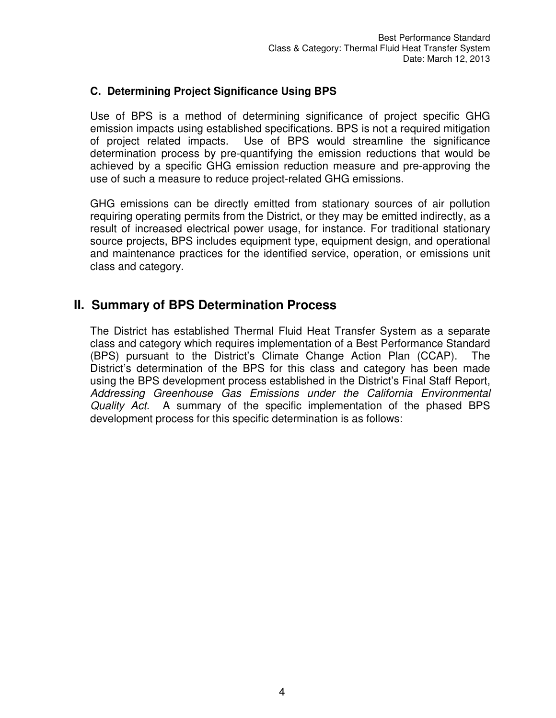#### **C. Determining Project Significance Using BPS**

Use of BPS is a method of determining significance of project specific GHG emission impacts using established specifications. BPS is not a required mitigation of project related impacts. Use of BPS would streamline the significance determination process by pre-quantifying the emission reductions that would be achieved by a specific GHG emission reduction measure and pre-approving the use of such a measure to reduce project-related GHG emissions.

GHG emissions can be directly emitted from stationary sources of air pollution requiring operating permits from the District, or they may be emitted indirectly, as a result of increased electrical power usage, for instance. For traditional stationary source projects, BPS includes equipment type, equipment design, and operational and maintenance practices for the identified service, operation, or emissions unit class and category.

## **II. Summary of BPS Determination Process**

The District has established Thermal Fluid Heat Transfer System as a separate class and category which requires implementation of a Best Performance Standard (BPS) pursuant to the District's Climate Change Action Plan (CCAP). The District's determination of the BPS for this class and category has been made using the BPS development process established in the District's Final Staff Report, *Addressing Greenhouse Gas Emissions under the California Environmental Quality Act.* A summary of the specific implementation of the phased BPS development process for this specific determination is as follows: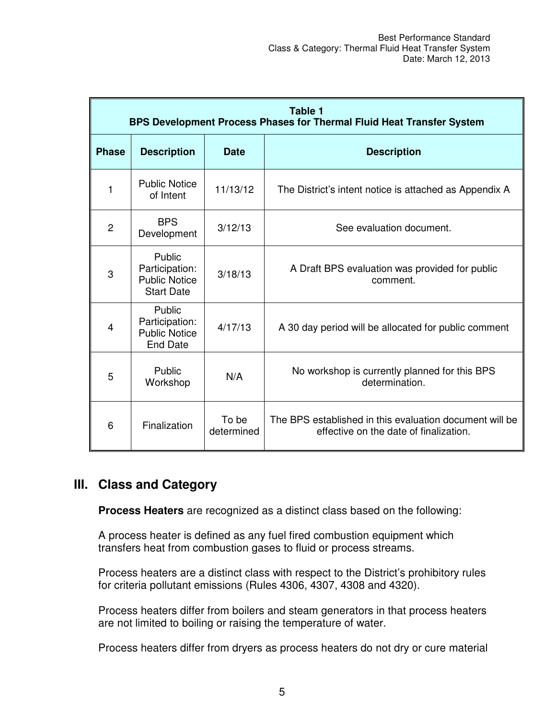|                | Table 1<br>BPS Development Process Phases for Thermal Fluid Heat Transfer System |                     |                                                                                                   |  |  |  |  |
|----------------|----------------------------------------------------------------------------------|---------------------|---------------------------------------------------------------------------------------------------|--|--|--|--|
| <b>Phase</b>   | <b>Description</b>                                                               | Date                | <b>Description</b>                                                                                |  |  |  |  |
| 1              | <b>Public Notice</b><br>of Intent                                                | 11/13/12            | The District's intent notice is attached as Appendix A                                            |  |  |  |  |
| $\overline{2}$ | <b>BPS</b><br>Development                                                        | 3/12/13             | See evaluation document.                                                                          |  |  |  |  |
| 3              | Public<br>Participation:<br><b>Public Notice</b><br><b>Start Date</b>            | 3/18/13             | A Draft BPS evaluation was provided for public<br>comment.                                        |  |  |  |  |
| 4              | Public<br>Participation:<br><b>Public Notice</b><br><b>End Date</b>              | 4/17/13             | A 30 day period will be allocated for public comment                                              |  |  |  |  |
| 5              | Public<br>Workshop                                                               | N/A                 | No workshop is currently planned for this BPS<br>determination.                                   |  |  |  |  |
| 6              | Finalization                                                                     | To be<br>determined | The BPS established in this evaluation document will be<br>effective on the date of finalization. |  |  |  |  |

# **III. Class and Category**

**Process Heaters** are recognized as a distinct class based on the following:

A process heater is defined as any fuel fired combustion equipment which transfers heat from combustion gases to fluid or process streams.

Process heaters are a distinct class with respect to the District's prohibitory rules for criteria pollutant emissions (Rules 4306, 4307, 4308 and 4320).

Process heaters differ from boilers and steam generators in that process heaters are not limited to boiling or raising the temperature of water.

Process heaters differ from dryers as process heaters do not dry or cure material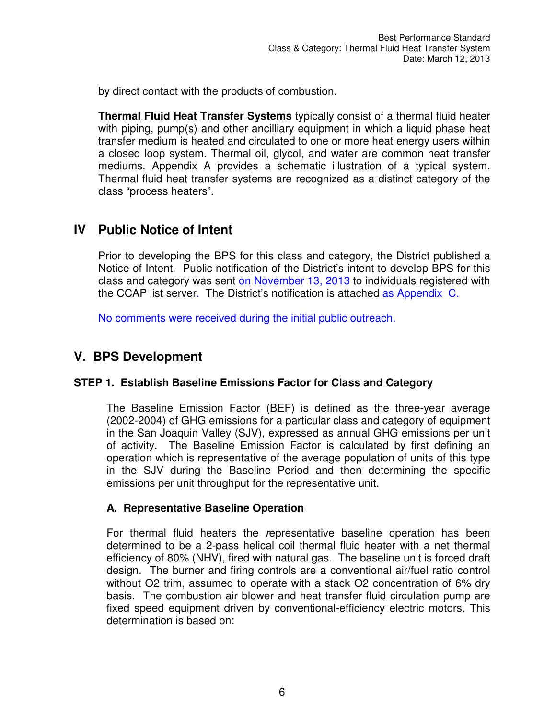by direct contact with the products of combustion.

**Thermal Fluid Heat Transfer Systems** typically consist of a thermal fluid heater with piping, pump(s) and other ancilliary equipment in which a liquid phase heat transfer medium is heated and circulated to one or more heat energy users within a closed loop system. Thermal oil, glycol, and water are common heat transfer mediums. Appendix A provides a schematic illustration of a typical system. Thermal fluid heat transfer systems are recognized as a distinct category of the class "process heaters".

## **IV Public Notice of Intent**

Prior to developing the BPS for this class and category, the District published a Notice of Intent. Public notification of the District's intent to develop BPS for this class and category was sent on November 13, 2013 to individuals registered with the CCAP list server. The District's notification is attached as Appendix C.

No comments were received during the initial public outreach.

# **V. BPS Development**

#### **STEP 1. Establish Baseline Emissions Factor for Class and Category**

The Baseline Emission Factor (BEF) is defined as the three-year average (2002-2004) of GHG emissions for a particular class and category of equipment in the San Joaquin Valley (SJV), expressed as annual GHG emissions per unit of activity. The Baseline Emission Factor is calculated by first defining an operation which is representative of the average population of units of this type in the SJV during the Baseline Period and then determining the specific emissions per unit throughput for the representative unit.

#### **A. Representative Baseline Operation**

For thermal fluid heaters the *r*epresentative baseline operation has been determined to be a 2-pass helical coil thermal fluid heater with a net thermal efficiency of 80% (NHV), fired with natural gas. The baseline unit is forced draft design. The burner and firing controls are a conventional air/fuel ratio control without O2 trim, assumed to operate with a stack O2 concentration of 6% dry basis. The combustion air blower and heat transfer fluid circulation pump are fixed speed equipment driven by conventional-efficiency electric motors. This determination is based on: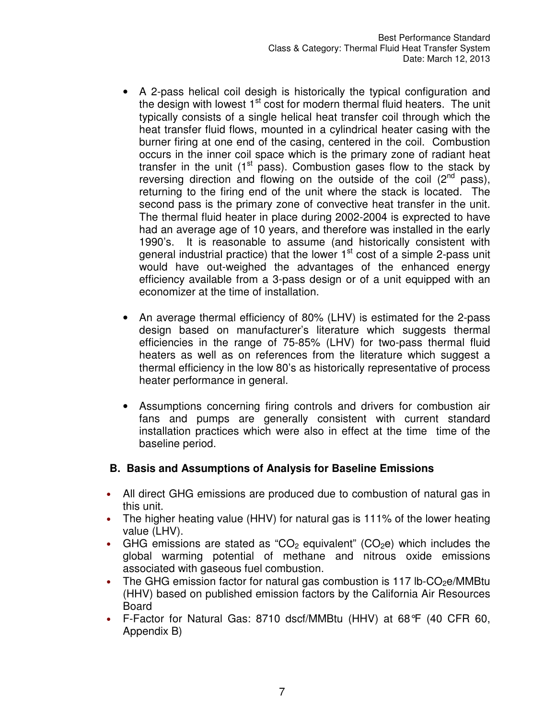- A 2-pass helical coil desigh is historically the typical configuration and the design with lowest  $1<sup>st</sup>$  cost for modern thermal fluid heaters. The unit typically consists of a single helical heat transfer coil through which the heat transfer fluid flows, mounted in a cylindrical heater casing with the burner firing at one end of the casing, centered in the coil. Combustion occurs in the inner coil space which is the primary zone of radiant heat transfer in the unit  $(1<sup>st</sup>$  pass). Combustion gases flow to the stack by reversing direction and flowing on the outside of the coil  $(2^{nd}$  pass), returning to the firing end of the unit where the stack is located. The second pass is the primary zone of convective heat transfer in the unit. The thermal fluid heater in place during 2002-2004 is exprected to have had an average age of 10 years, and therefore was installed in the early 1990's. It is reasonable to assume (and historically consistent with general industrial practice) that the lower  $1<sup>st</sup>$  cost of a simple 2-pass unit would have out-weighed the advantages of the enhanced energy efficiency available from a 3-pass design or of a unit equipped with an economizer at the time of installation.
- An average thermal efficiency of 80% (LHV) is estimated for the 2-pass design based on manufacturer's literature which suggests thermal efficiencies in the range of 75-85% (LHV) for two-pass thermal fluid heaters as well as on references from the literature which suggest a thermal efficiency in the low 80's as historically representative of process heater performance in general.
- Assumptions concerning firing controls and drivers for combustion air fans and pumps are generally consistent with current standard installation practices which were also in effect at the time time of the baseline period.

#### **B. Basis and Assumptions of Analysis for Baseline Emissions**

- All direct GHG emissions are produced due to combustion of natural gas in this unit.
- The higher heating value (HHV) for natural gas is 111% of the lower heating value (LHV).
- GHG emissions are stated as "CO<sub>2</sub> equivalent" (CO<sub>2</sub>e) which includes the global warming potential of methane and nitrous oxide emissions associated with gaseous fuel combustion.
- The GHG emission factor for natural gas combustion is 117 lb-CO<sub>2</sub>e/MMBtu (HHV) based on published emission factors by the California Air Resources Board
- F-Factor for Natural Gas: 8710 dscf/MMBtu (HHV) at 68°F (40 CFR 60, Appendix B)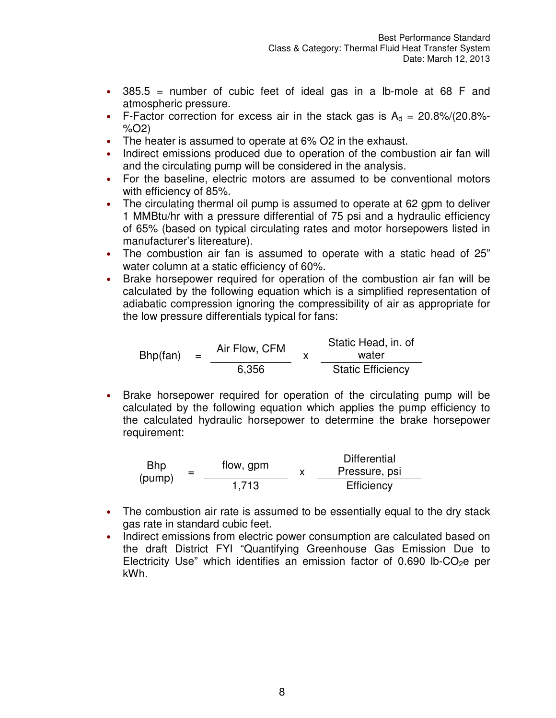- $\cdot$  385.5 = number of cubic feet of ideal gas in a lb-mole at 68 F and atmospheric pressure.
- F-Factor correction for excess air in the stack gas is  $A_d = 20.8\%/20.8\%$ %O2)
- The heater is assumed to operate at 6% O2 in the exhaust.
- Indirect emissions produced due to operation of the combustion air fan will and the circulating pump will be considered in the analysis.
- For the baseline, electric motors are assumed to be conventional motors with efficiency of 85%.
- The circulating thermal oil pump is assumed to operate at 62 gpm to deliver 1 MMBtu/hr with a pressure differential of 75 psi and a hydraulic efficiency of 65% (based on typical circulating rates and motor horsepowers listed in manufacturer's litereature).
- The combustion air fan is assumed to operate with a static head of 25" water column at a static efficiency of 60%.
- Brake horsepower required for operation of the combustion air fan will be calculated by the following equation which is a simplified representation of adiabatic compression ignoring the compressibility of air as appropriate for the low pressure differentials typical for fans:

 $Bhp(fan) =$  Air Flow, CFM  $\overline{x}$ Static Head, in. of water 6,356 Static Efficiency

• Brake horsepower required for operation of the circulating pump will be calculated by the following equation which applies the pump efficiency to the calculated hydraulic horsepower to determine the brake horsepower requirement:

Bhp  $(pump)$ flow, gpm x Differential Pressure, psi 1,713 Efficiency

- The combustion air rate is assumed to be essentially equal to the dry stack gas rate in standard cubic feet.
- Indirect emissions from electric power consumption are calculated based on the draft District FYI "Quantifying Greenhouse Gas Emission Due to Electricity Use" which identifies an emission factor of 0.690 lb-CO<sub>2</sub>e per kWh.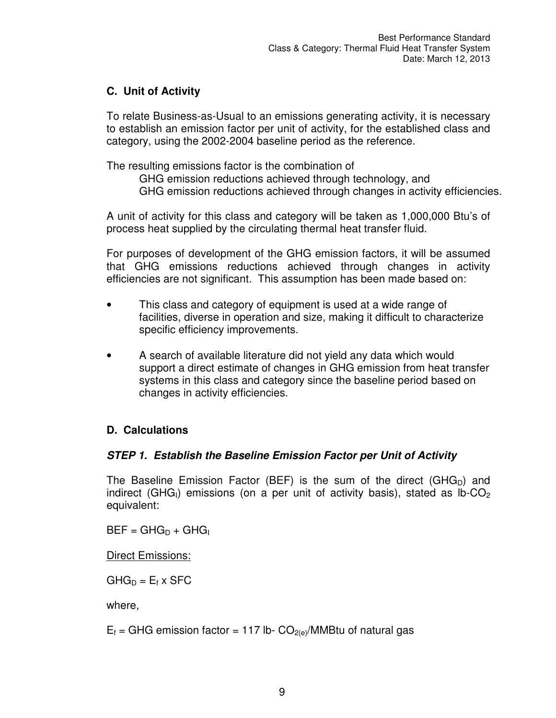### **C. Unit of Activity**

To relate Business-as-Usual to an emissions generating activity, it is necessary to establish an emission factor per unit of activity, for the established class and category, using the 2002-2004 baseline period as the reference.

The resulting emissions factor is the combination of

GHG emission reductions achieved through technology, and

GHG emission reductions achieved through changes in activity efficiencies.

A unit of activity for this class and category will be taken as 1,000,000 Btu's of process heat supplied by the circulating thermal heat transfer fluid.

For purposes of development of the GHG emission factors, it will be assumed that GHG emissions reductions achieved through changes in activity efficiencies are not significant. This assumption has been made based on:

- This class and category of equipment is used at a wide range of facilities, diverse in operation and size, making it difficult to characterize specific efficiency improvements.
- A search of available literature did not yield any data which would support a direct estimate of changes in GHG emission from heat transfer systems in this class and category since the baseline period based on changes in activity efficiencies.

### **D. Calculations**

#### **STEP 1. Establish the Baseline Emission Factor per Unit of Activity**

The Baseline Emission Factor (BEF) is the sum of the direct (GHG<sub>D</sub>) and indirect (GHG<sub>I</sub>) emissions (on a per unit of activity basis), stated as  $lb$ -CO<sub>2</sub> equivalent:

 $BEF = GHG_D + GHG_I$ 

Direct Emissions:

 $GHG_D = E_f \times SFC$ 

where,

 $E_f$  = GHG emission factor = 117 lb-  $CO_{2(e)}/MMB$ tu of natural gas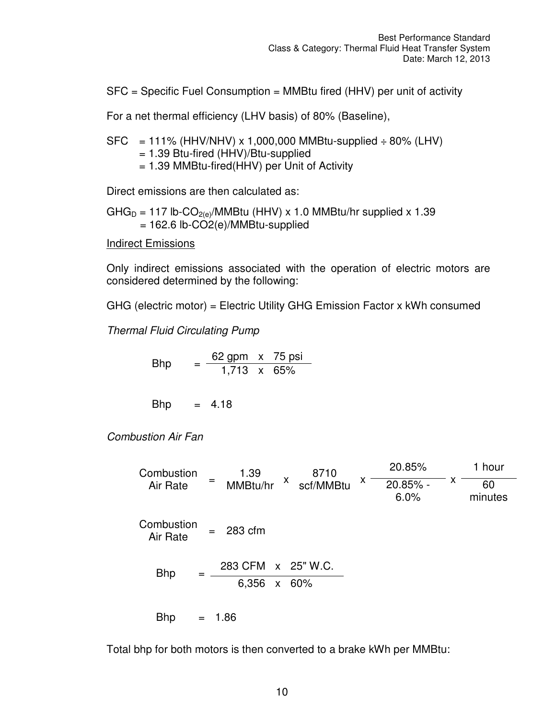SFC = Specific Fuel Consumption = MMBtu fired (HHV) per unit of activity

For a net thermal efficiency (LHV basis) of 80% (Baseline),

 $SFC = 111\%$  (HHV/NHV) x 1,000,000 MMBtu-supplied  $\div 80\%$  (LHV) = 1.39 Btu-fired (HHV)/Btu-supplied = 1.39 MMBtu-fired(HHV) per Unit of Activity

Direct emissions are then calculated as:

GHG<sub>D</sub> = 117 lb-CO<sub>2(e)</sub>/MMBtu (HHV) x 1.0 MMBtu/hr supplied x 1.39 = 162.6 lb-CO2(e)/MMBtu-supplied

Indirect Emissions

Only indirect emissions associated with the operation of electric motors are considered determined by the following:

GHG (electric motor) = Electric Utility GHG Emission Factor x kWh consumed

*Thermal Fluid Circulating Pump* 

Bhp = 
$$
\frac{62 \text{ gpm} \times 75 \text{ psi}}{1,713 \times 65\%}
$$

 $Bhp = 4.18$ 

*Combustion Air Fan* 

**Combustion** Air Rate 1.39  $MMBtu/hr$ <sup> $X$ </sup> 8710 scf/MMBtu 20.85% x 1 hour 20.85% - 6.0% 60 minutes **Combustion**  $Air Rate = 283 cfm$ Bhp  $=$   $\frac{283 \text{ CFM} \times 25 \text{ W.C.}}{}$ 6,356 x 60%  $Bhp = 1.86$ 

Total bhp for both motors is then converted to a brake kWh per MMBtu: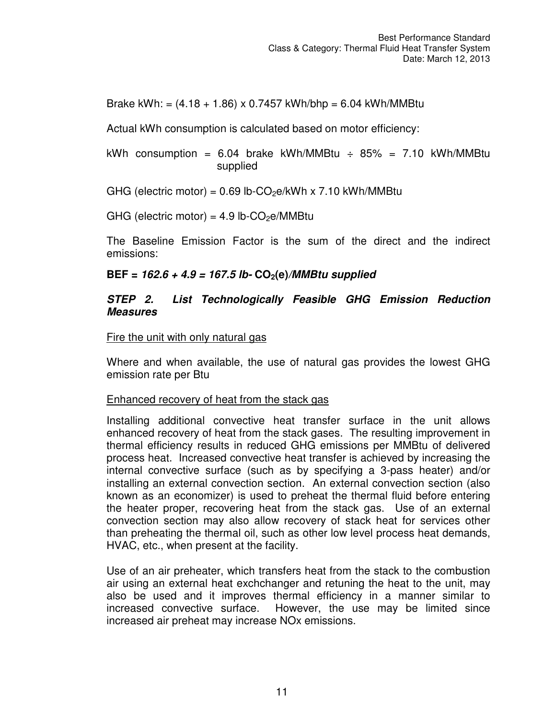Brake kWh: =  $(4.18 + 1.86) \times 0.7457$  kWh/bhp = 6.04 kWh/MMBtu

Actual kWh consumption is calculated based on motor efficiency:

kWh consumption = 6.04 brake kWh/MMBtu  $\div$  85% = 7.10 kWh/MMBtu supplied

GHG (electric motor) =  $0.69$  lb-CO<sub>2</sub>e/kWh x 7.10 kWh/MMBtu

GHG (electric motor) =  $4.9$  lb-CO<sub>2</sub>e/MMBtu

The Baseline Emission Factor is the sum of the direct and the indirect emissions:

#### **BEF = 162.6 + 4.9 = 167.5 lb- CO2(e)/MMBtu supplied**

#### **STEP 2. List Technologically Feasible GHG Emission Reduction Measures**

Fire the unit with only natural gas

Where and when available, the use of natural gas provides the lowest GHG emission rate per Btu

#### Enhanced recovery of heat from the stack gas

Installing additional convective heat transfer surface in the unit allows enhanced recovery of heat from the stack gases. The resulting improvement in thermal efficiency results in reduced GHG emissions per MMBtu of delivered process heat. Increased convective heat transfer is achieved by increasing the internal convective surface (such as by specifying a 3-pass heater) and/or installing an external convection section. An external convection section (also known as an economizer) is used to preheat the thermal fluid before entering the heater proper, recovering heat from the stack gas. Use of an external convection section may also allow recovery of stack heat for services other than preheating the thermal oil, such as other low level process heat demands, HVAC, etc., when present at the facility.

Use of an air preheater, which transfers heat from the stack to the combustion air using an external heat exchchanger and retuning the heat to the unit, may also be used and it improves thermal efficiency in a manner similar to increased convective surface. However, the use may be limited since increased air preheat may increase NOx emissions.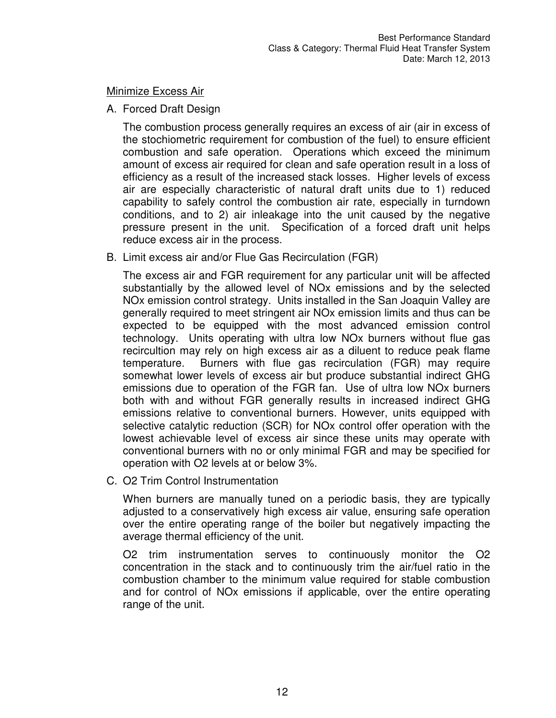Minimize Excess Air

A. Forced Draft Design

The combustion process generally requires an excess of air (air in excess of the stochiometric requirement for combustion of the fuel) to ensure efficient combustion and safe operation. Operations which exceed the minimum amount of excess air required for clean and safe operation result in a loss of efficiency as a result of the increased stack losses. Higher levels of excess air are especially characteristic of natural draft units due to 1) reduced capability to safely control the combustion air rate, especially in turndown conditions, and to 2) air inleakage into the unit caused by the negative pressure present in the unit. Specification of a forced draft unit helps reduce excess air in the process.

B. Limit excess air and/or Flue Gas Recirculation (FGR)

The excess air and FGR requirement for any particular unit will be affected substantially by the allowed level of NOx emissions and by the selected NOx emission control strategy. Units installed in the San Joaquin Valley are generally required to meet stringent air NOx emission limits and thus can be expected to be equipped with the most advanced emission control technology. Units operating with ultra low NOx burners without flue gas recircultion may rely on high excess air as a diluent to reduce peak flame temperature. Burners with flue gas recirculation (FGR) may require somewhat lower levels of excess air but produce substantial indirect GHG emissions due to operation of the FGR fan. Use of ultra low NOx burners both with and without FGR generally results in increased indirect GHG emissions relative to conventional burners. However, units equipped with selective catalytic reduction (SCR) for NOx control offer operation with the lowest achievable level of excess air since these units may operate with conventional burners with no or only minimal FGR and may be specified for operation with O2 levels at or below 3%.

C. O2 Trim Control Instrumentation

When burners are manually tuned on a periodic basis, they are typically adjusted to a conservatively high excess air value, ensuring safe operation over the entire operating range of the boiler but negatively impacting the average thermal efficiency of the unit.

O2 trim instrumentation serves to continuously monitor the O2 concentration in the stack and to continuously trim the air/fuel ratio in the combustion chamber to the minimum value required for stable combustion and for control of NOx emissions if applicable, over the entire operating range of the unit.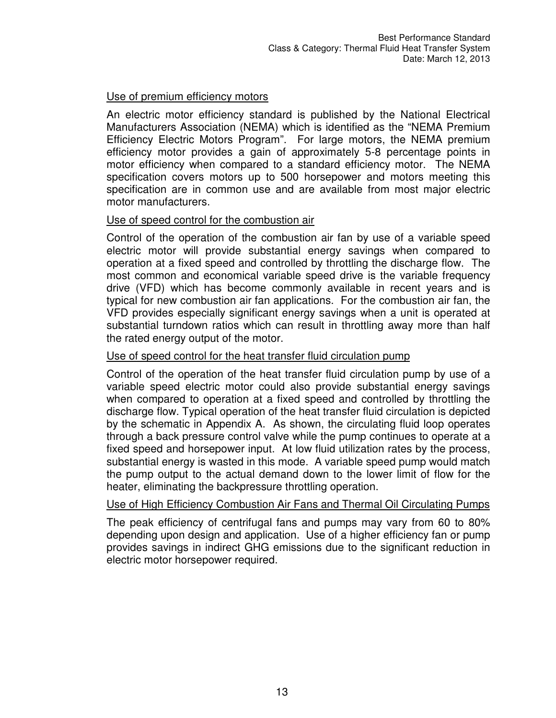#### Use of premium efficiency motors

An electric motor efficiency standard is published by the National Electrical Manufacturers Association (NEMA) which is identified as the "NEMA Premium Efficiency Electric Motors Program". For large motors, the NEMA premium efficiency motor provides a gain of approximately 5-8 percentage points in motor efficiency when compared to a standard efficiency motor. The NEMA specification covers motors up to 500 horsepower and motors meeting this specification are in common use and are available from most major electric motor manufacturers.

#### Use of speed control for the combustion air

Control of the operation of the combustion air fan by use of a variable speed electric motor will provide substantial energy savings when compared to operation at a fixed speed and controlled by throttling the discharge flow. The most common and economical variable speed drive is the variable frequency drive (VFD) which has become commonly available in recent years and is typical for new combustion air fan applications. For the combustion air fan, the VFD provides especially significant energy savings when a unit is operated at substantial turndown ratios which can result in throttling away more than half the rated energy output of the motor.

#### Use of speed control for the heat transfer fluid circulation pump

Control of the operation of the heat transfer fluid circulation pump by use of a variable speed electric motor could also provide substantial energy savings when compared to operation at a fixed speed and controlled by throttling the discharge flow. Typical operation of the heat transfer fluid circulation is depicted by the schematic in Appendix A. As shown, the circulating fluid loop operates through a back pressure control valve while the pump continues to operate at a fixed speed and horsepower input. At low fluid utilization rates by the process, substantial energy is wasted in this mode. A variable speed pump would match the pump output to the actual demand down to the lower limit of flow for the heater, eliminating the backpressure throttling operation.

#### Use of High Efficiency Combustion Air Fans and Thermal Oil Circulating Pumps

The peak efficiency of centrifugal fans and pumps may vary from 60 to 80% depending upon design and application. Use of a higher efficiency fan or pump provides savings in indirect GHG emissions due to the significant reduction in electric motor horsepower required.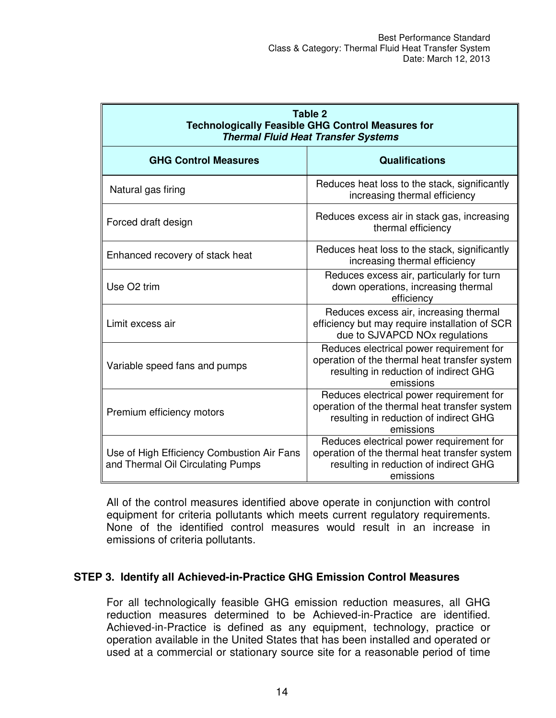| Table 2<br><b>Technologically Feasible GHG Control Measures for</b><br><b>Thermal Fluid Heat Transfer Systems</b> |                                                                                                                                                  |  |  |  |  |
|-------------------------------------------------------------------------------------------------------------------|--------------------------------------------------------------------------------------------------------------------------------------------------|--|--|--|--|
| <b>GHG Control Measures</b>                                                                                       | <b>Qualifications</b>                                                                                                                            |  |  |  |  |
| Natural gas firing                                                                                                | Reduces heat loss to the stack, significantly<br>increasing thermal efficiency                                                                   |  |  |  |  |
| Forced draft design                                                                                               | Reduces excess air in stack gas, increasing<br>thermal efficiency                                                                                |  |  |  |  |
| Enhanced recovery of stack heat                                                                                   | Reduces heat loss to the stack, significantly<br>increasing thermal efficiency                                                                   |  |  |  |  |
| Use O <sub>2</sub> trim                                                                                           | Reduces excess air, particularly for turn<br>down operations, increasing thermal<br>efficiency                                                   |  |  |  |  |
| Limit excess air                                                                                                  | Reduces excess air, increasing thermal<br>efficiency but may require installation of SCR<br>due to SJVAPCD NOx regulations                       |  |  |  |  |
| Variable speed fans and pumps                                                                                     | Reduces electrical power requirement for<br>operation of the thermal heat transfer system<br>resulting in reduction of indirect GHG<br>emissions |  |  |  |  |
| Premium efficiency motors                                                                                         | Reduces electrical power requirement for<br>operation of the thermal heat transfer system<br>resulting in reduction of indirect GHG<br>emissions |  |  |  |  |
| Use of High Efficiency Combustion Air Fans<br>and Thermal Oil Circulating Pumps                                   | Reduces electrical power requirement for<br>operation of the thermal heat transfer system<br>resulting in reduction of indirect GHG<br>emissions |  |  |  |  |

All of the control measures identified above operate in conjunction with control equipment for criteria pollutants which meets current regulatory requirements. None of the identified control measures would result in an increase in emissions of criteria pollutants.

#### **STEP 3. Identify all Achieved-in-Practice GHG Emission Control Measures**

For all technologically feasible GHG emission reduction measures, all GHG reduction measures determined to be Achieved-in-Practice are identified. Achieved-in-Practice is defined as any equipment, technology, practice or operation available in the United States that has been installed and operated or used at a commercial or stationary source site for a reasonable period of time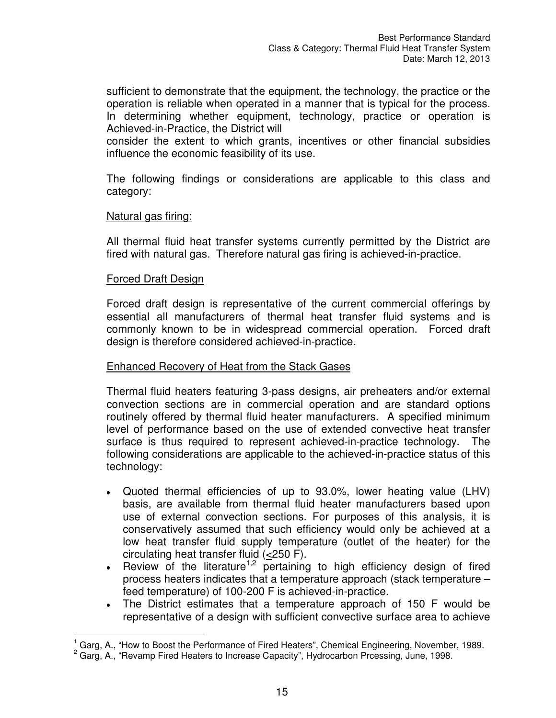sufficient to demonstrate that the equipment, the technology, the practice or the operation is reliable when operated in a manner that is typical for the process. In determining whether equipment, technology, practice or operation is Achieved-in-Practice, the District will

consider the extent to which grants, incentives or other financial subsidies influence the economic feasibility of its use.

The following findings or considerations are applicable to this class and category:

#### Natural gas firing:

All thermal fluid heat transfer systems currently permitted by the District are fired with natural gas. Therefore natural gas firing is achieved-in-practice.

#### Forced Draft Design

Forced draft design is representative of the current commercial offerings by essential all manufacturers of thermal heat transfer fluid systems and is commonly known to be in widespread commercial operation. Forced draft design is therefore considered achieved-in-practice.

#### Enhanced Recovery of Heat from the Stack Gases

Thermal fluid heaters featuring 3-pass designs, air preheaters and/or external convection sections are in commercial operation and are standard options routinely offered by thermal fluid heater manufacturers. A specified minimum level of performance based on the use of extended convective heat transfer surface is thus required to represent achieved-in-practice technology. The following considerations are applicable to the achieved-in-practice status of this technology:

- Quoted thermal efficiencies of up to 93.0%, lower heating value (LHV) basis, are available from thermal fluid heater manufacturers based upon use of external convection sections. For purposes of this analysis, it is conservatively assumed that such efficiency would only be achieved at a low heat transfer fluid supply temperature (outlet of the heater) for the circulating heat transfer fluid (<250 F).
- Review of the literature<sup>1,2</sup> pertaining to high efficiency design of fired process heaters indicates that a temperature approach (stack temperature – feed temperature) of 100-200 F is achieved-in-practice.
- The District estimates that a temperature approach of 150 F would be representative of a design with sufficient convective surface area to achieve

 $\overline{a}$ <sup>1</sup> Garg, A., "How to Boost the Performance of Fired Heaters", Chemical Engineering, November, 1989.

<sup>&</sup>lt;sup>2</sup> Garg, A., "Revamp Fired Heaters to Increase Capacity", Hydrocarbon Prcessing, June, 1998.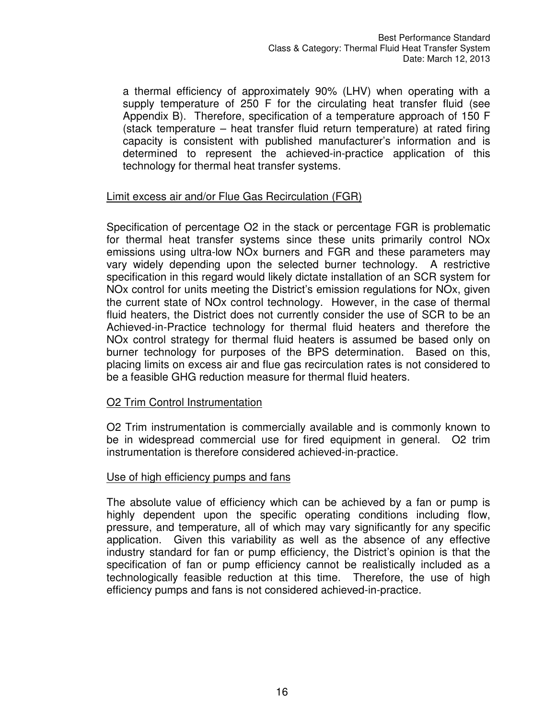a thermal efficiency of approximately 90% (LHV) when operating with a supply temperature of 250 F for the circulating heat transfer fluid (see Appendix B). Therefore, specification of a temperature approach of 150 F (stack temperature – heat transfer fluid return temperature) at rated firing capacity is consistent with published manufacturer's information and is determined to represent the achieved-in-practice application of this technology for thermal heat transfer systems.

#### Limit excess air and/or Flue Gas Recirculation (FGR)

Specification of percentage O2 in the stack or percentage FGR is problematic for thermal heat transfer systems since these units primarily control NOx emissions using ultra-low NOx burners and FGR and these parameters may vary widely depending upon the selected burner technology. A restrictive specification in this regard would likely dictate installation of an SCR system for NOx control for units meeting the District's emission regulations for NOx, given the current state of NOx control technology. However, in the case of thermal fluid heaters, the District does not currently consider the use of SCR to be an Achieved-in-Practice technology for thermal fluid heaters and therefore the NOx control strategy for thermal fluid heaters is assumed be based only on burner technology for purposes of the BPS determination. Based on this, placing limits on excess air and flue gas recirculation rates is not considered to be a feasible GHG reduction measure for thermal fluid heaters.

#### O2 Trim Control Instrumentation

O2 Trim instrumentation is commercially available and is commonly known to be in widespread commercial use for fired equipment in general. O2 trim instrumentation is therefore considered achieved-in-practice.

#### Use of high efficiency pumps and fans

The absolute value of efficiency which can be achieved by a fan or pump is highly dependent upon the specific operating conditions including flow, pressure, and temperature, all of which may vary significantly for any specific application. Given this variability as well as the absence of any effective industry standard for fan or pump efficiency, the District's opinion is that the specification of fan or pump efficiency cannot be realistically included as a technologically feasible reduction at this time. Therefore, the use of high efficiency pumps and fans is not considered achieved-in-practice.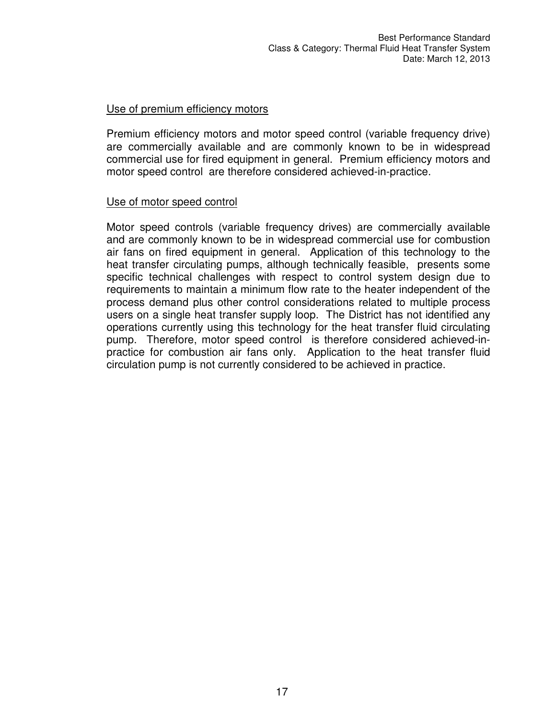#### Use of premium efficiency motors

Premium efficiency motors and motor speed control (variable frequency drive) are commercially available and are commonly known to be in widespread commercial use for fired equipment in general. Premium efficiency motors and motor speed control are therefore considered achieved-in-practice.

#### Use of motor speed control

Motor speed controls (variable frequency drives) are commercially available and are commonly known to be in widespread commercial use for combustion air fans on fired equipment in general. Application of this technology to the heat transfer circulating pumps, although technically feasible, presents some specific technical challenges with respect to control system design due to requirements to maintain a minimum flow rate to the heater independent of the process demand plus other control considerations related to multiple process users on a single heat transfer supply loop. The District has not identified any operations currently using this technology for the heat transfer fluid circulating pump. Therefore, motor speed control is therefore considered achieved-inpractice for combustion air fans only. Application to the heat transfer fluid circulation pump is not currently considered to be achieved in practice.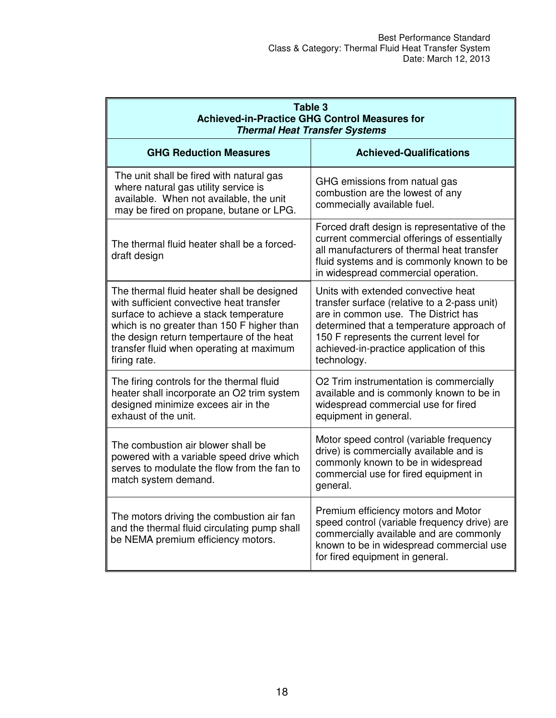| Table 3<br><b>Achieved-in-Practice GHG Control Measures for</b><br><b>Thermal Heat Transfer Systems</b>                                                                                                                                                                                 |                                                                                                                                                                                                                                                                              |  |  |  |  |
|-----------------------------------------------------------------------------------------------------------------------------------------------------------------------------------------------------------------------------------------------------------------------------------------|------------------------------------------------------------------------------------------------------------------------------------------------------------------------------------------------------------------------------------------------------------------------------|--|--|--|--|
| <b>GHG Reduction Measures</b>                                                                                                                                                                                                                                                           | <b>Achieved-Qualifications</b>                                                                                                                                                                                                                                               |  |  |  |  |
| The unit shall be fired with natural gas<br>where natural gas utility service is<br>available. When not available, the unit<br>may be fired on propane, butane or LPG.                                                                                                                  | GHG emissions from natual gas<br>combustion are the lowest of any<br>commecially available fuel.                                                                                                                                                                             |  |  |  |  |
| The thermal fluid heater shall be a forced-<br>draft design                                                                                                                                                                                                                             | Forced draft design is representative of the<br>current commercial offerings of essentially<br>all manufacturers of thermal heat transfer<br>fluid systems and is commonly known to be<br>in widespread commercial operation.                                                |  |  |  |  |
| The thermal fluid heater shall be designed<br>with sufficient convective heat transfer<br>surface to achieve a stack temperature<br>which is no greater than 150 F higher than<br>the design return tempertaure of the heat<br>transfer fluid when operating at maximum<br>firing rate. | Units with extended convective heat<br>transfer surface (relative to a 2-pass unit)<br>are in common use. The District has<br>determined that a temperature approach of<br>150 F represents the current level for<br>achieved-in-practice application of this<br>technology. |  |  |  |  |
| The firing controls for the thermal fluid<br>heater shall incorporate an O2 trim system<br>designed minimize excees air in the<br>exhaust of the unit.                                                                                                                                  | O2 Trim instrumentation is commercially<br>available and is commonly known to be in<br>widespread commercial use for fired<br>equipment in general.                                                                                                                          |  |  |  |  |
| The combustion air blower shall be<br>powered with a variable speed drive which<br>serves to modulate the flow from the fan to<br>match system demand.                                                                                                                                  | Motor speed control (variable frequency<br>drive) is commercially available and is<br>commonly known to be in widespread<br>commercial use for fired equipment in<br>general.                                                                                                |  |  |  |  |
| The motors driving the combustion air fan<br>and the thermal fluid circulating pump shall<br>be NEMA premium efficiency motors.                                                                                                                                                         | Premium efficiency motors and Motor<br>speed control (variable frequency drive) are<br>commercially available and are commonly<br>known to be in widespread commercial use<br>for fired equipment in general.                                                                |  |  |  |  |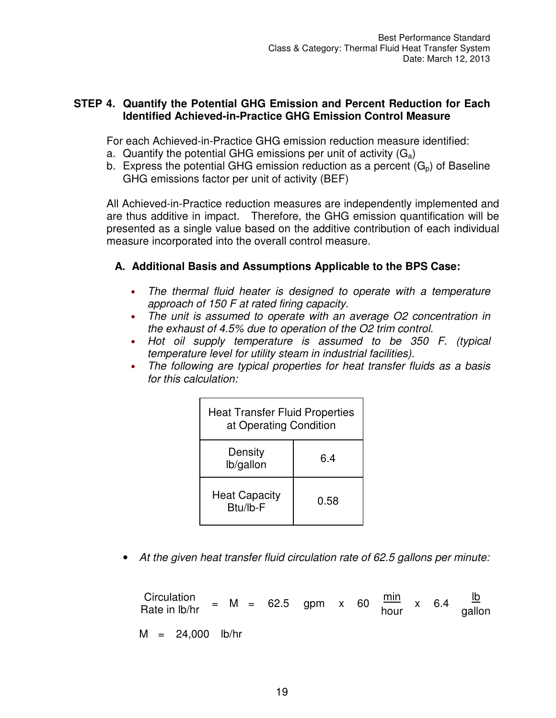#### **STEP 4. Quantify the Potential GHG Emission and Percent Reduction for Each Identified Achieved-in-Practice GHG Emission Control Measure**

For each Achieved-in-Practice GHG emission reduction measure identified:

- a. Quantify the potential GHG emissions per unit of activity  $(G_a)$
- b. Express the potential GHG emission reduction as a percent  $(G_n)$  of Baseline GHG emissions factor per unit of activity (BEF)

All Achieved-in-Practice reduction measures are independently implemented and are thus additive in impact. Therefore, the GHG emission quantification will be presented as a single value based on the additive contribution of each individual measure incorporated into the overall control measure.

### **A. Additional Basis and Assumptions Applicable to the BPS Case:**

- *The thermal fluid heater is designed to operate with a temperature approach of 150 F at rated firing capacity.*
- *The unit is assumed to operate with an average O2 concentration in the exhaust of 4.5% due to operation of the O2 trim control.*
- *Hot oil supply temperature is assumed to be 350 F. (typical temperature level for utility steam in industrial facilities).*
- *The following are typical properties for heat transfer fluids as a basis for this calculation:*

| <b>Heat Transfer Fluid Properties</b><br>at Operating Condition |      |  |  |  |
|-----------------------------------------------------------------|------|--|--|--|
| Density<br>lb/gallon                                            | 6.4  |  |  |  |
| <b>Heat Capacity</b><br>Btu/lb-F                                | 0.58 |  |  |  |

• *At the given heat transfer fluid circulation rate of 62.5 gallons per minute:* 

| Circulation<br>Rate in lb/hr |                    | = M = 62.5 gpm x 60 $\frac{\text{min}}{\text{hour}}$ x 6.4 |  |  |  | $\mathsf{I} \mathsf{b}$<br>gallon |
|------------------------------|--------------------|------------------------------------------------------------|--|--|--|-----------------------------------|
|                              | $M = 24,000$ lb/hr |                                                            |  |  |  |                                   |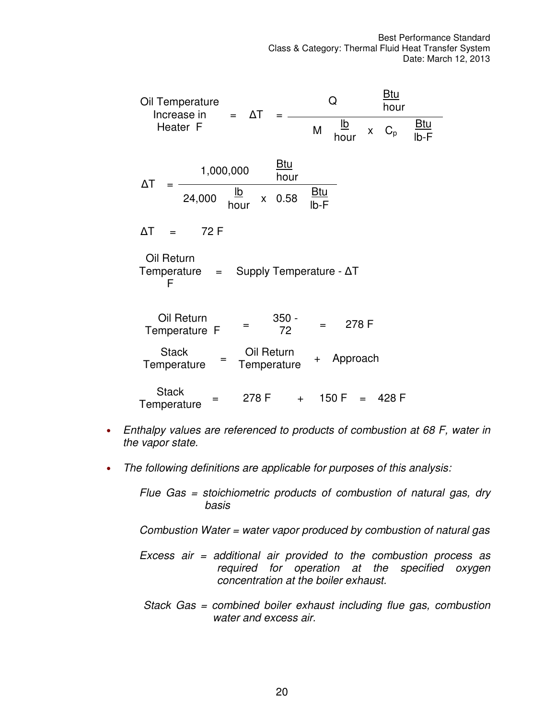| Oil Temperature<br>Increase in<br>$= \Delta T$                   | <u>Btu</u><br>Q<br>hour                                                 |
|------------------------------------------------------------------|-------------------------------------------------------------------------|
| Heater F                                                         | <u>lb</u><br><u>Btu</u><br>M<br>$C_p$<br>$\mathsf{X}^-$<br>lb-F<br>hour |
| <u>Btu</u><br>1,000,000<br>hour<br>ΔT                            |                                                                         |
| <u>lb</u><br>24,000<br>0.58<br>$\mathsf{X}^-$<br>hour            | <u>Btu</u><br>$Ib-F$                                                    |
| 72 F<br>$\Delta T$                                               |                                                                         |
| Oil Return<br>Supply Temperature - ΔT<br>Temperature<br>$=$<br>F |                                                                         |
| Oil Return<br>$350 -$<br>72<br>Temperature F                     | 278 F<br>$=$                                                            |
| <b>Stack</b><br>Oil Return<br>=<br>Temperature<br>Temperature    | Approach<br>$\ddot{}$                                                   |
| <b>Stack</b><br>278 F<br>$+$<br>Temperature                      | 150 F<br>– 428 F<br>$=$                                                 |

- *Enthalpy values are referenced to products of combustion at 68 F, water in the vapor state.*
- *The following definitions are applicable for purposes of this analysis:*

*Flue Gas = stoichiometric products of combustion of natural gas, dry basis* 

*Combustion Water = water vapor produced by combustion of natural gas* 

- *Excess air = additional air provided to the combustion process as required for operation at the specified oxygen concentration at the boiler exhaust.*
- *Stack Gas = combined boiler exhaust including flue gas, combustion water and excess air.*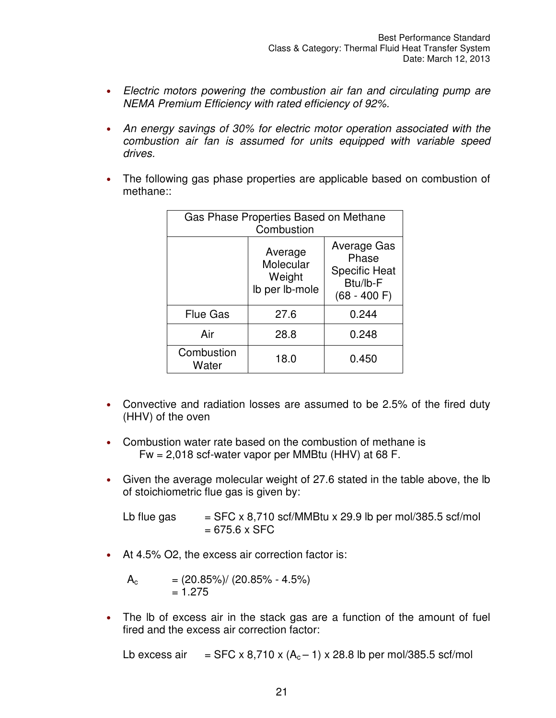- *Electric motors powering the combustion air fan and circulating pump are NEMA Premium Efficiency with rated efficiency of 92%.*
- *An energy savings of 30% for electric motor operation associated with the combustion air fan is assumed for units equipped with variable speed drives.*
- The following gas phase properties are applicable based on combustion of methane::

| Gas Phase Properties Based on Methane<br>Combustion |                                                  |                                                                             |  |  |  |  |
|-----------------------------------------------------|--------------------------------------------------|-----------------------------------------------------------------------------|--|--|--|--|
|                                                     | Average<br>Molecular<br>Weight<br>Ib per Ib-mole | Average Gas<br>Phase<br><b>Specific Heat</b><br>Btu/lb-F<br>$(68 - 400)$ F) |  |  |  |  |
| <b>Flue Gas</b>                                     | 27.6                                             | 0.244                                                                       |  |  |  |  |
| Air                                                 | 28.8                                             | 0.248                                                                       |  |  |  |  |
| Combustion<br>Water                                 | 18.0                                             | 0.450                                                                       |  |  |  |  |

- Convective and radiation losses are assumed to be 2.5% of the fired duty (HHV) of the oven
- Combustion water rate based on the combustion of methane is Fw = 2,018 scf-water vapor per MMBtu (HHV) at 68 F.
- Given the average molecular weight of 27.6 stated in the table above, the lb of stoichiometric flue gas is given by:

Lb flue gas  $=$  SFC x 8,710 scf/MMBtu x 29.9 lb per mol/385.5 scf/mol  $= 675.6 \times$  SFC

• At 4.5% O2, the excess air correction factor is:

$$
A_{c} = (20.85\%) / (20.85\% - 4.5\%)
$$
  
= 1.275

• The Ib of excess air in the stack gas are a function of the amount of fuel fired and the excess air correction factor:

Lb excess air  $=$  SFC x 8,710 x  $(A<sub>c</sub> - 1)$  x 28.8 lb per mol/385.5 scf/mol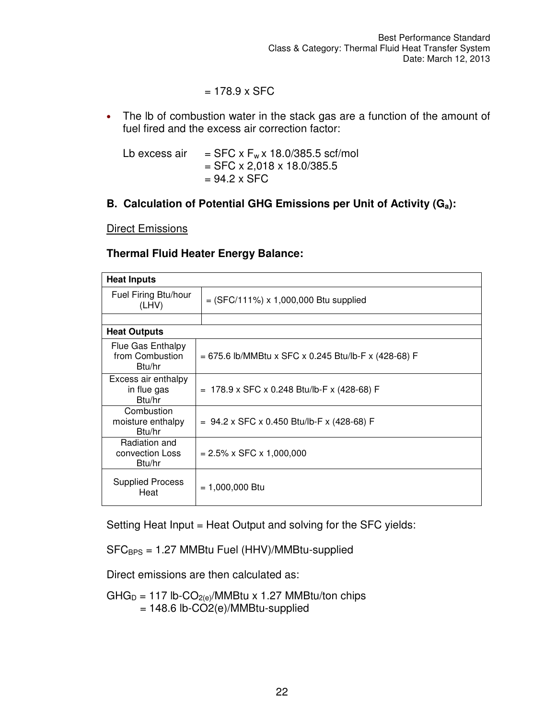#### $= 178.9 \times$  SFC

• The Ib of combustion water in the stack gas are a function of the amount of fuel fired and the excess air correction factor:

| Lb excess air | $=$ SFC x F <sub>w</sub> x 18.0/385.5 scf/mol |
|---------------|-----------------------------------------------|
|               | $=$ SFC x 2,018 x 18.0/385.5                  |
|               | $= 94.2 \times$ SFC                           |

#### **B. Calculation of Potential GHG Emissions per Unit of Activity (Ga):**

#### **Direct Emissions**

#### **Thermal Fluid Heater Energy Balance:**

| <b>Heat Inputs</b>                             |                                                        |  |  |
|------------------------------------------------|--------------------------------------------------------|--|--|
| Fuel Firing Btu/hour<br>(LHV)                  | $=$ (SFC/111%) x 1,000,000 Btu supplied                |  |  |
|                                                |                                                        |  |  |
| <b>Heat Outputs</b>                            |                                                        |  |  |
| Flue Gas Enthalpy<br>from Combustion<br>Btu/hr | $= 675.6$ lb/MMBtu x SFC x 0.245 Btu/lb-F x (428-68) F |  |  |
| Excess air enthalpy<br>in flue gas<br>Btu/hr   | $= 178.9 \times$ SFC x 0.248 Btu/lb-F x (428-68) F     |  |  |
| Combustion<br>moisture enthalpy<br>Btu/hr      | $= 94.2 \times$ SFC x 0.450 Btu/lb-F x (428-68) F      |  |  |
| Radiation and<br>convection Loss<br>Btu/hr     | $= 2.5\% \times$ SFC $\times$ 1,000,000                |  |  |
| <b>Supplied Process</b><br>Heat                | $= 1,000,000$ Btu                                      |  |  |

Setting Heat Input = Heat Output and solving for the SFC yields:

 $SFC_{BPS} = 1.27$  MMBtu Fuel (HHV)/MMBtu-supplied

Direct emissions are then calculated as:

GHG<sub>D</sub> = 117 lb-CO<sub>2(e)</sub>/MMBtu x 1.27 MMBtu/ton chips  $= 148.6$  lb-CO2(e)/MMBtu-supplied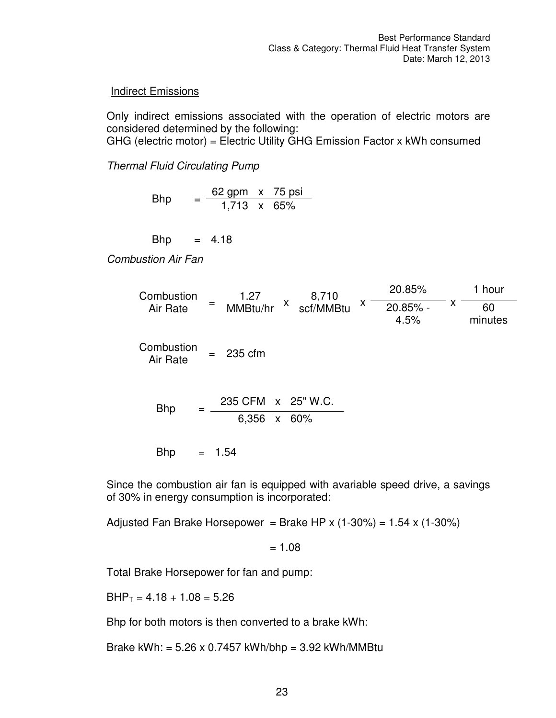#### **Indirect Emissions**

Only indirect emissions associated with the operation of electric motors are considered determined by the following: GHG (electric motor) = Electric Utility GHG Emission Factor x kWh consumed

*Thermal Fluid Circulating Pump* 

Bhp =  $\frac{62 \text{ gpm} \times 75 \text{ psi}}{1,713 \times 65\%}$ 

 $Bhp = 4.18$ 

*Combustion Air Fan* 

Combustion Air Rate 1.27 MMBtu/hr <sup>x</sup> 8,710 scf/MMBtu <sup>x</sup> 20.85%  $20.85\%$  -  $x$ 1 hour 4.5% 60 minutes Combustion Air Rate = 235 cfm Bhp  $=$   $\frac{235 \text{ CFM} \times 25 \text{ W.C.}}{}$ 6,356 x 60%

 $Bhp = 1.54$ 

Since the combustion air fan is equipped with avariable speed drive, a savings of 30% in energy consumption is incorporated:

Adjusted Fan Brake Horsepower = Brake HP x  $(1-30\%)$  = 1.54 x  $(1-30\%)$ 

 $= 1.08$ 

Total Brake Horsepower for fan and pump:

 $BHP_T = 4.18 + 1.08 = 5.26$ 

Bhp for both motors is then converted to a brake kWh:

Brake kWh: =  $5.26 \times 0.7457$  kWh/bhp =  $3.92$  kWh/MMBtu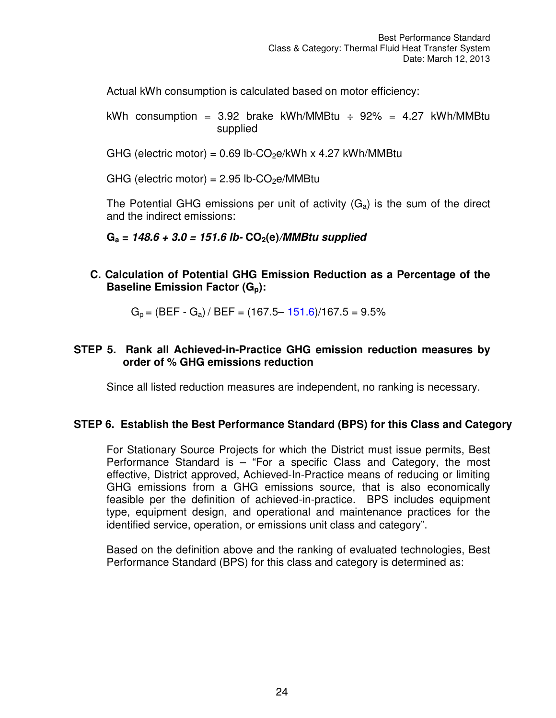Actual kWh consumption is calculated based on motor efficiency:

kWh consumption = 3.92 brake kWh/MMBtu  $\div$  92% = 4.27 kWh/MMBtu supplied

GHG (electric motor) =  $0.69$  lb-CO<sub>2</sub>e/kWh x 4.27 kWh/MMBtu

GHG (electric motor) =  $2.95$  lb-CO<sub>2</sub>e/MMBtu

The Potential GHG emissions per unit of activity  $(G_a)$  is the sum of the direct and the indirect emissions:

**Ga = 148.6 + 3.0 = 151.6 lb- CO2(e)/MMBtu supplied** 

**C. Calculation of Potential GHG Emission Reduction as a Percentage of the Baseline Emission Factor (Gp):** 

 $G_p = (BEF - G_a) / BEF = (167.5 - 151.6)/167.5 = 9.5%$ 

#### **STEP 5. Rank all Achieved-in-Practice GHG emission reduction measures by order of % GHG emissions reduction**

Since all listed reduction measures are independent, no ranking is necessary.

#### **STEP 6. Establish the Best Performance Standard (BPS) for this Class and Category**

For Stationary Source Projects for which the District must issue permits, Best Performance Standard is – "For a specific Class and Category, the most effective, District approved, Achieved-In-Practice means of reducing or limiting GHG emissions from a GHG emissions source, that is also economically feasible per the definition of achieved-in-practice. BPS includes equipment type, equipment design, and operational and maintenance practices for the identified service, operation, or emissions unit class and category".

Based on the definition above and the ranking of evaluated technologies, Best Performance Standard (BPS) for this class and category is determined as: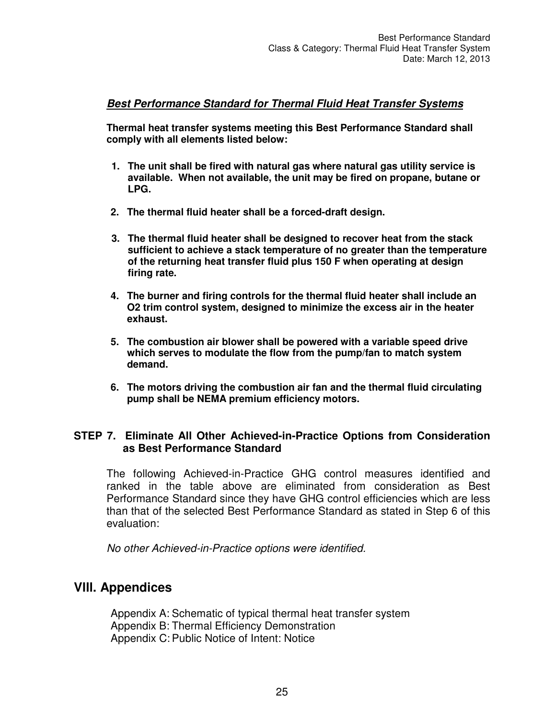#### **Best Performance Standard for Thermal Fluid Heat Transfer Systems**

**Thermal heat transfer systems meeting this Best Performance Standard shall comply with all elements listed below:** 

- **1. The unit shall be fired with natural gas where natural gas utility service is available. When not available, the unit may be fired on propane, butane or LPG.**
- **2. The thermal fluid heater shall be a forced-draft design.**
- **3. The thermal fluid heater shall be designed to recover heat from the stack sufficient to achieve a stack temperature of no greater than the temperature of the returning heat transfer fluid plus 150 F when operating at design firing rate.**
- **4. The burner and firing controls for the thermal fluid heater shall include an O2 trim control system, designed to minimize the excess air in the heater exhaust.**
- **5. The combustion air blower shall be powered with a variable speed drive which serves to modulate the flow from the pump/fan to match system demand.**
- **6. The motors driving the combustion air fan and the thermal fluid circulating pump shall be NEMA premium efficiency motors.**

#### **STEP 7. Eliminate All Other Achieved-in-Practice Options from Consideration as Best Performance Standard**

The following Achieved-in-Practice GHG control measures identified and ranked in the table above are eliminated from consideration as Best Performance Standard since they have GHG control efficiencies which are less than that of the selected Best Performance Standard as stated in Step 6 of this evaluation:

*No other Achieved-in-Practice options were identified.* 

### **Vlll. Appendices**

Appendix A: Schematic of typical thermal heat transfer system Appendix B: Thermal Efficiency Demonstration Appendix C: Public Notice of Intent: Notice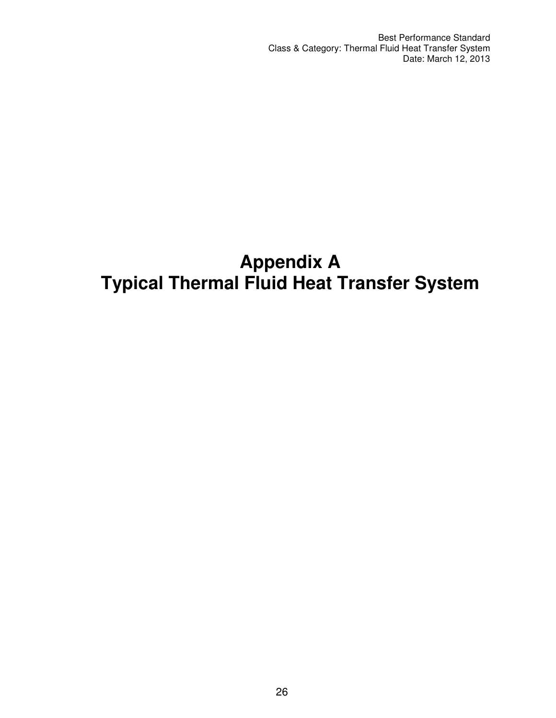Best Performance Standard Class & Category: Thermal Fluid Heat Transfer System Date: March 12, 2013

# **Appendix A Typical Thermal Fluid Heat Transfer System**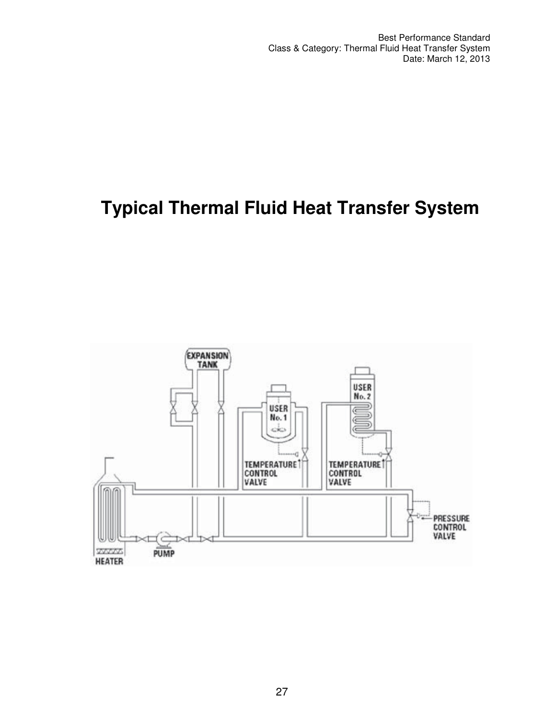# **Typical Thermal Fluid Heat Transfer System**

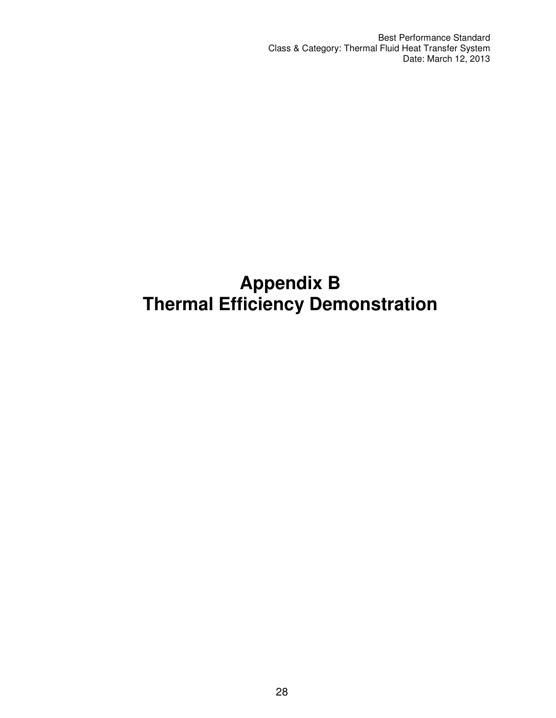# **Appendix B Thermal Efficiency Demonstration**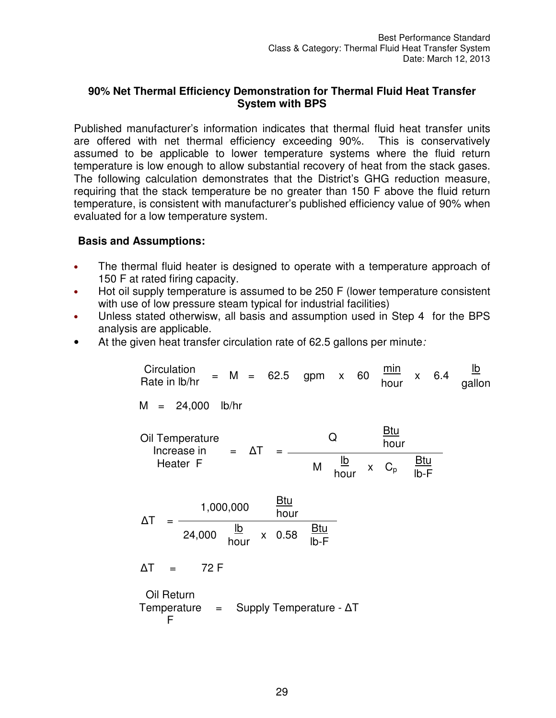#### **90% Net Thermal Efficiency Demonstration for Thermal Fluid Heat Transfer System with BPS**

Published manufacturer's information indicates that thermal fluid heat transfer units are offered with net thermal efficiency exceeding 90%. This is conservatively assumed to be applicable to lower temperature systems where the fluid return temperature is low enough to allow substantial recovery of heat from the stack gases. The following calculation demonstrates that the District's GHG reduction measure, requiring that the stack temperature be no greater than 150 F above the fluid return temperature, is consistent with manufacturer's published efficiency value of 90% when evaluated for a low temperature system.

#### **Basis and Assumptions:**

- The thermal fluid heater is designed to operate with a temperature approach of 150 F at rated firing capacity.
- Hot oil supply temperature is assumed to be 250 F (lower temperature consistent with use of low pressure steam typical for industrial facilities)
- Unless stated otherwisw, all basis and assumption used in Step 4 for the BPS analysis are applicable.
- At the given heat transfer circulation rate of 62.5 gallons per minute*:*

Circulation Rate in Ib/hr = M = 62.5 gpm x 60 
$$
\frac{min}{hour}
$$
 x 6.4  $\frac{lb}{gallon}$ 

\nM = 24,000 lb/hr

\nOil Temperature Increase in Heater F

\nHaater F

\nM  $\frac{lb}{hour}$  x C<sub>p</sub>  $\frac{Btu}{lb-r}$ 

\nAT =  $\frac{1,000,000}{24,000} \frac{lb}{hour}$  x 0.58  $\frac{Btu}{lb-r}$ 

\nAT = 72 F

\nOil Return

\nTemperature = Supply Temperature -  $\Delta T$  F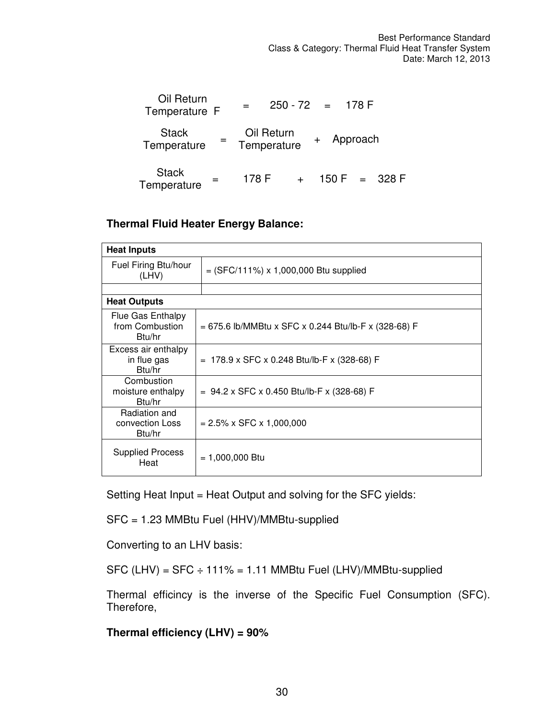| Oil Return<br>Temperature F                   |                           | $250 - 72 = 178$ F |  |                 |
|-----------------------------------------------|---------------------------|--------------------|--|-----------------|
| <b>Stack</b><br>$\overline{a}$<br>Temperature | Oil Return<br>Temperature | + Approach         |  |                 |
| <b>Stack</b><br>$=$<br>Temperature            | 178 F                     |                    |  | $150 F = 328 F$ |

#### **Thermal Fluid Heater Energy Balance:**

| <b>Heat Inputs</b>                             |                                                      |
|------------------------------------------------|------------------------------------------------------|
| Fuel Firing Btu/hour<br>(LHV)                  | $=$ (SFC/111%) x 1,000,000 Btu supplied              |
|                                                |                                                      |
| <b>Heat Outputs</b>                            |                                                      |
| Flue Gas Enthalpy<br>from Combustion<br>Btu/hr | = 675.6 lb/MMBtu x SFC x 0.244 Btu/lb-F x (328-68) F |
| Excess air enthalpy<br>in flue gas<br>Btu/hr   | = 178.9 x SFC x 0.248 Btu/lb-F x (328-68) F          |
| Combustion<br>moisture enthalpy<br>Btu/hr      | $= 94.2 \times$ SFC x 0.450 Btu/lb-F x (328-68) F    |
| Radiation and<br>convection Loss<br>Btu/hr     | $= 2.5\% \times \text{SFC} \times 1,000,000$         |
| <b>Supplied Process</b><br>Heat                | $= 1,000,000$ Btu                                    |

Setting Heat Input = Heat Output and solving for the SFC yields:

SFC = 1.23 MMBtu Fuel (HHV)/MMBtu-supplied

Converting to an LHV basis:

 $SFC$  (LHV) =  $SFC \div 111\% = 1.11$  MMBtu Fuel (LHV)/MMBtu-supplied

Thermal efficincy is the inverse of the Specific Fuel Consumption (SFC). Therefore,

#### **Thermal efficiency (LHV) = 90%**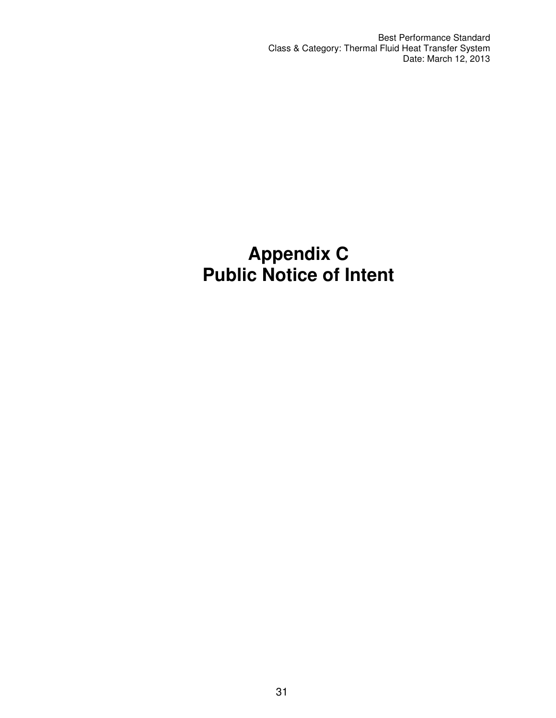Best Performance Standard Class & Category: Thermal Fluid Heat Transfer System Date: March 12, 2013

# **Appendix C Public Notice of Intent**